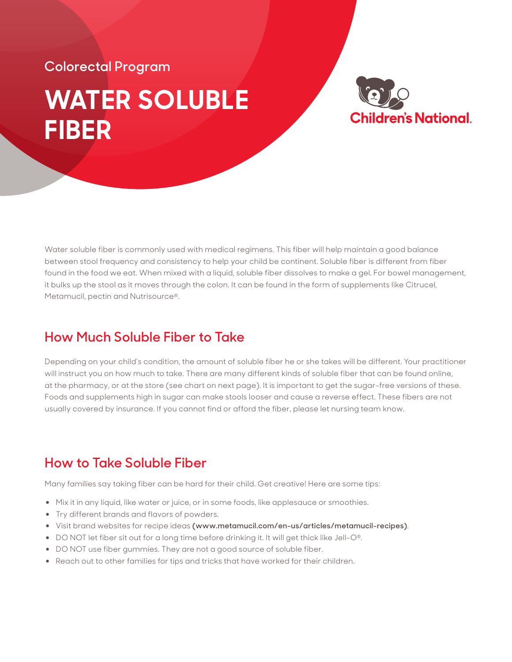## **WATER SOLUBLE FIBER Colorectal Program**



Water soluble fiber is commonly used with medical regimens. This fiber will help maintain a good balance between stool frequency and consistency to help your child be continent. Soluble fiber is different from fiber found in the food we eat. When mixed with a liquid, soluble fiber dissolves to make a gel. For bowel management, it bulks up the stool as it moves through the colon. It can be found in the form of supplements like Citrucel, Metamucil, pectin and Nutrisource®.

## **How Much Soluble Fiber to Take**

Depending on your child's condition, the amount of soluble fiber he or she takes will be different. Your practitioner will instruct you on how much to take. There are many different kinds of soluble fiber that can be found online, at the pharmacy, or at the store (see chart on next page). It is important to get the sugar-free versions of these. Foods and supplements high in sugar can make stools looser and cause a reverse effect. These fibers are not usually covered by insurance. If you cannot find or afford the fiber, please let nursing team know.

## **How to Take Soluble Fiber**

Many families say taking fiber can be hard for their child. Get creative! Here are some tips:

- Mix it in any liquid, like water or juice, or in some foods, like applesauce or smoothies.
- Try different brands and flavors of powders.
- Visit brand websites for recipe ideas **(www.metamucil.com/en-us/articles/metamucil-recipes)**.
- DO NOT let fiber sit out for a long time before drinking it. It will get thick like Jell-O®.
- DO NOT use fiber gummies. They are not a good source of soluble fiber.
- Reach out to other families for tips and tricks that have worked for their children.